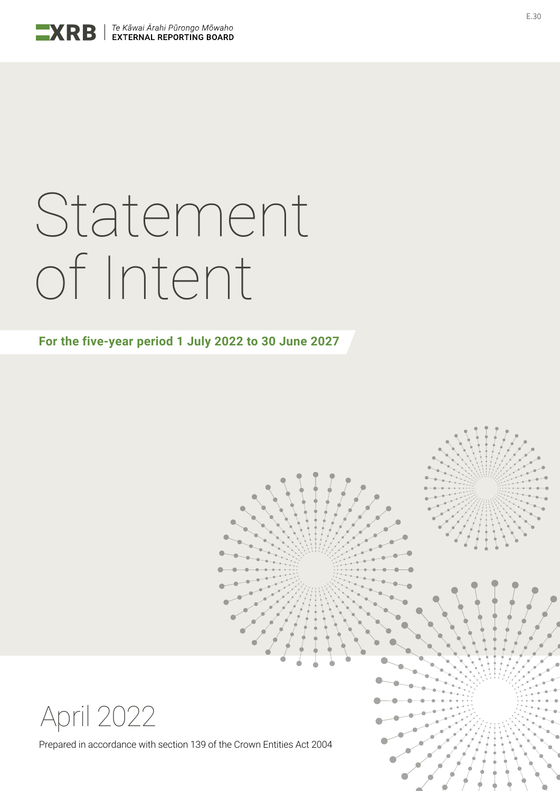

# Statement of Intent

**For the five-year period 1 July 2022 to 30 June 2027**



Prepared in accordance with section 139 of the Crown Entities Act 2004

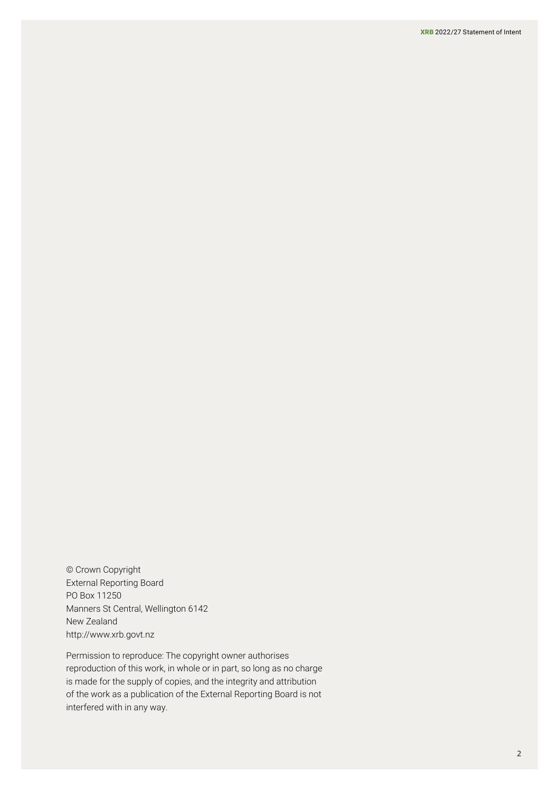© Crown Copyright External Reporting Board PO Box 11250 Manners St Central, Wellington 6142 New Zealand <http://www.xrb.govt.nz>

Permission to reproduce: The copyright owner authorises reproduction of this work, in whole or in part, so long as no charge is made for the supply of copies, and the integrity and attribution of the work as a publication of the External Reporting Board is not interfered with in any way.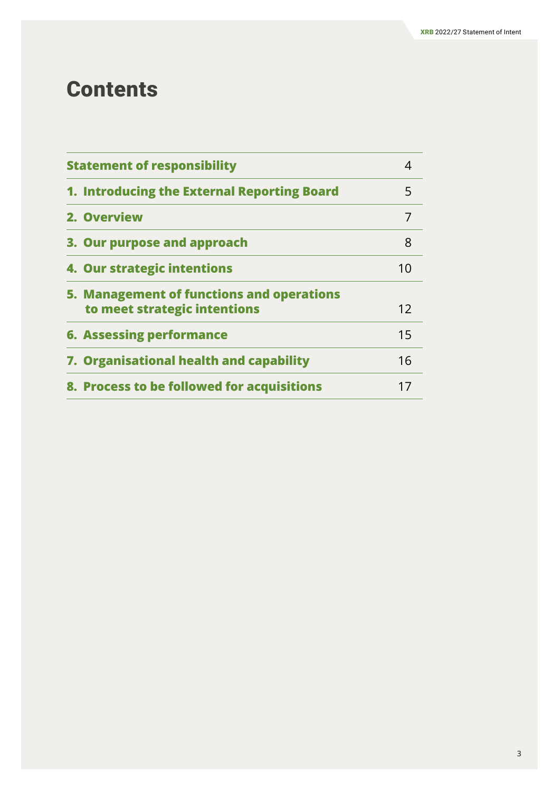## **Contents**

| <b>Statement of responsibility</b><br>4                                   |    |
|---------------------------------------------------------------------------|----|
| 1. Introducing the External Reporting Board                               | 5  |
| 2. Overview                                                               | 7  |
| 3. Our purpose and approach                                               | 8  |
| 4. Our strategic intentions                                               | 10 |
| 5. Management of functions and operations<br>to meet strategic intentions | 12 |
| <b>6. Assessing performance</b>                                           | 15 |
| 7. Organisational health and capability                                   | 16 |
| 8. Process to be followed for acquisitions                                | 17 |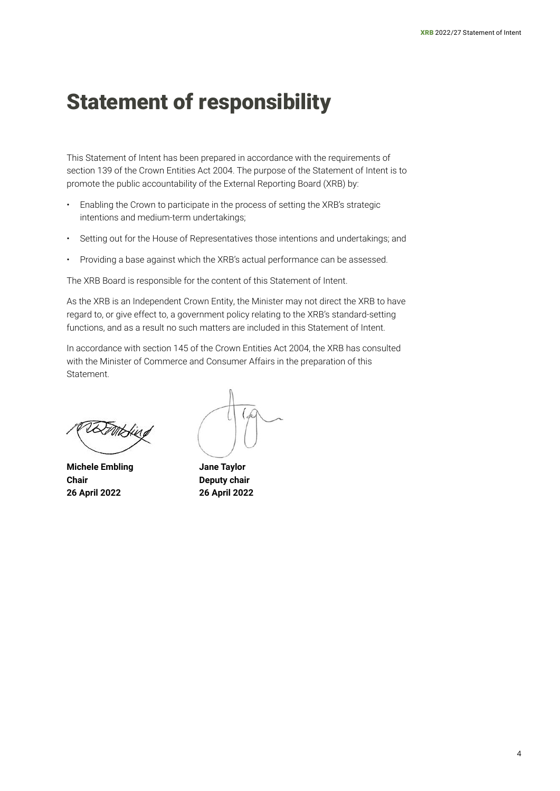## <span id="page-3-0"></span>Statement of responsibility

This Statement of Intent has been prepared in accordance with the requirements of section 139 of the Crown Entities Act 2004. The purpose of the Statement of Intent is to promote the public accountability of the External Reporting Board (XRB) by:

- Enabling the Crown to participate in the process of setting the XRB's strategic intentions and medium-term undertakings;
- Setting out for the House of Representatives those intentions and undertakings; and
- Providing a base against which the XRB's actual performance can be assessed.

The XRB Board is responsible for the content of this Statement of Intent.

As the XRB is an Independent Crown Entity, the Minister may not direct the XRB to have regard to, or give effect to, a government policy relating to the XRB's standard-setting functions, and as a result no such matters are included in this Statement of Intent.

In accordance with section 145 of the Crown Entities Act 2004, the XRB has consulted with the Minister of Commerce and Consumer Affairs in the preparation of this Statement.

**Michele Embling Jane Taylor Chair Deputy chair 26 April 2022 26 April 2022**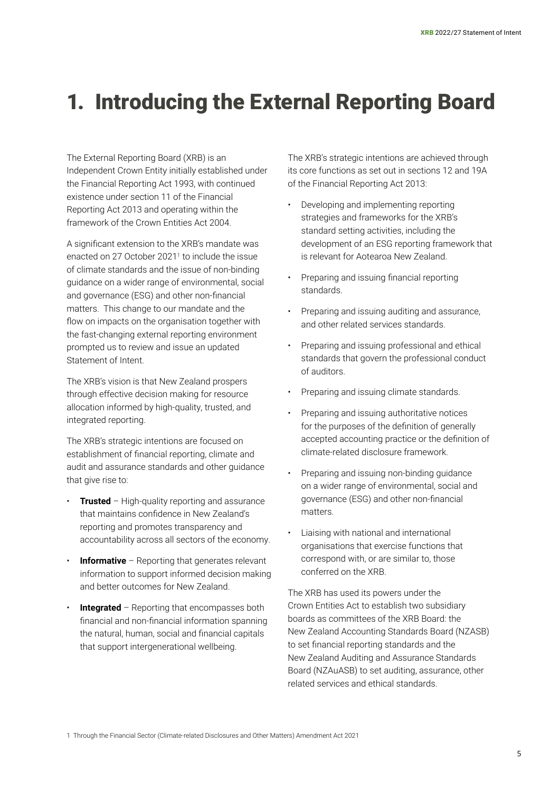## <span id="page-4-0"></span>1. Introducing the External Reporting Board

The External Reporting Board (XRB) is an Independent Crown Entity initially established under the Financial Reporting Act 1993, with continued existence under section 11 of the Financial Reporting Act 2013 and operating within the framework of the Crown Entities Act 2004.

A significant extension to the XRB's mandate was enacted on 27 October 2021<sup>1</sup> to include the issue of climate standards and the issue of non-binding guidance on a wider range of environmental, social and governance (ESG) and other non-financial matters. This change to our mandate and the flow on impacts on the organisation together with the fast-changing external reporting environment prompted us to review and issue an updated Statement of Intent.

The XRB's vision is that New Zealand prospers through effective decision making for resource allocation informed by high-quality, trusted, and integrated reporting.

The XRB's strategic intentions are focused on establishment of financial reporting, climate and audit and assurance standards and other guidance that give rise to:

- **Trusted** High-quality reporting and assurance that maintains confidence in New Zealand's reporting and promotes transparency and accountability across all sectors of the economy.
- **Informative** Reporting that generates relevant information to support informed decision making and better outcomes for New Zealand.
- **Integrated** Reporting that encompasses both financial and non-financial information spanning the natural, human, social and financial capitals that support intergenerational wellbeing.

The XRB's strategic intentions are achieved through its core functions as set out in sections 12 and 19A of the Financial Reporting Act 2013:

- Developing and implementing reporting strategies and frameworks for the XRB's standard setting activities, including the development of an ESG reporting framework that is relevant for Aotearoa New Zealand.
- Preparing and issuing financial reporting standards.
- Preparing and issuing auditing and assurance, and other related services standards.
- Preparing and issuing professional and ethical standards that govern the professional conduct of auditors.
- Preparing and issuing climate standards.
- Preparing and issuing authoritative notices for the purposes of the definition of generally accepted accounting practice or the definition of climate-related disclosure framework.
- Preparing and issuing non-binding guidance on a wider range of environmental, social and governance (ESG) and other non-financial matters.
- Liaising with national and international organisations that exercise functions that correspond with, or are similar to, those conferred on the XRB.

The XRB has used its powers under the Crown Entities Act to establish two subsidiary boards as committees of the XRB Board: the New Zealand Accounting Standards Board (NZASB) to set financial reporting standards and the New Zealand Auditing and Assurance Standards Board (NZAuASB) to set auditing, assurance, other related services and ethical standards.

1 Through the Financial Sector (Climate-related Disclosures and Other Matters) Amendment Act 2021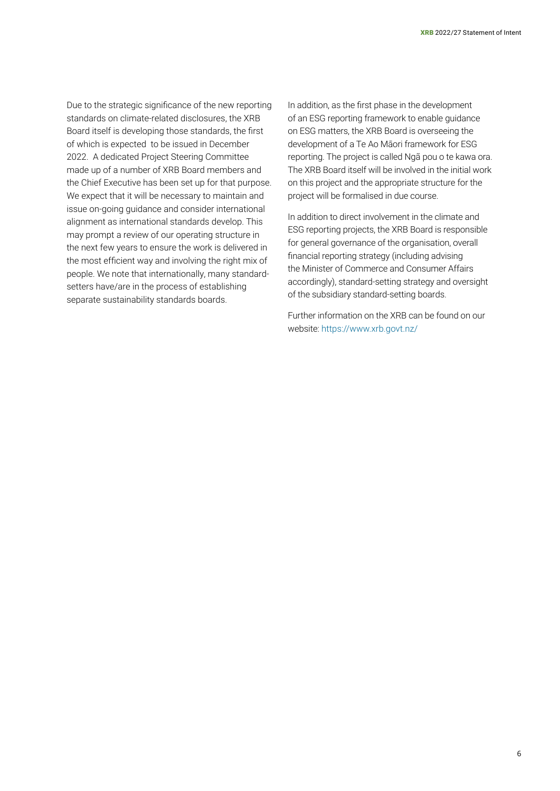Due to the strategic significance of the new reporting standards on climate-related disclosures, the XRB Board itself is developing those standards, the first of which is expected to be issued in December 2022. A dedicated Project Steering Committee made up of a number of XRB Board members and the Chief Executive has been set up for that purpose. We expect that it will be necessary to maintain and issue on-going guidance and consider international alignment as international standards develop. This may prompt a review of our operating structure in the next few years to ensure the work is delivered in the most efficient way and involving the right mix of people. We note that internationally, many standardsetters have/are in the process of establishing separate sustainability standards boards.

In addition, as the first phase in the development of an ESG reporting framework to enable guidance on ESG matters, the XRB Board is overseeing the development of a Te Ao Māori framework for ESG reporting. The project is called Ngã pou o te kawa ora. The XRB Board itself will be involved in the initial work on this project and the appropriate structure for the project will be formalised in due course.

In addition to direct involvement in the climate and ESG reporting projects, the XRB Board is responsible for general governance of the organisation, overall financial reporting strategy (including advising the Minister of Commerce and Consumer Affairs accordingly), standard-setting strategy and oversight of the subsidiary standard-setting boards.

Further information on the XRB can be found on our website: <https://www.xrb.govt.nz/>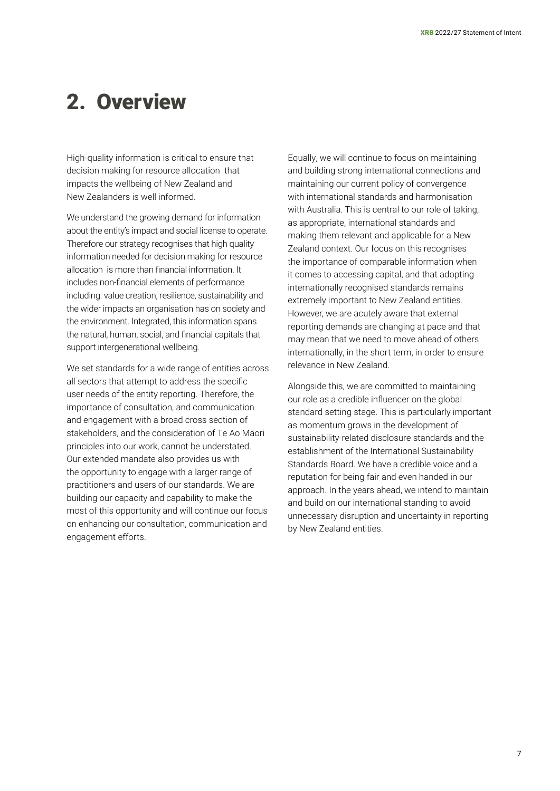## <span id="page-6-0"></span>2. Overview

High-quality information is critical to ensure that decision making for resource allocation that impacts the wellbeing of New Zealand and New Zealanders is well informed.

We understand the growing demand for information about the entity's impact and social license to operate. Therefore our strategy recognises that high quality information needed for decision making for resource allocation is more than financial information. It includes non-financial elements of performance including: value creation, resilience, sustainability and the wider impacts an organisation has on society and the environment. Integrated, this information spans the natural, human, social, and financial capitals that support intergenerational wellbeing.

We set standards for a wide range of entities across all sectors that attempt to address the specific user needs of the entity reporting. Therefore, the importance of consultation, and communication and engagement with a broad cross section of stakeholders, and the consideration of Te Ao Māori principles into our work, cannot be understated. Our extended mandate also provides us with the opportunity to engage with a larger range of practitioners and users of our standards. We are building our capacity and capability to make the most of this opportunity and will continue our focus on enhancing our consultation, communication and engagement efforts.

Equally, we will continue to focus on maintaining and building strong international connections and maintaining our current policy of convergence with international standards and harmonisation with Australia. This is central to our role of taking, as appropriate, international standards and making them relevant and applicable for a New Zealand context. Our focus on this recognises the importance of comparable information when it comes to accessing capital, and that adopting internationally recognised standards remains extremely important to New Zealand entities. However, we are acutely aware that external reporting demands are changing at pace and that may mean that we need to move ahead of others internationally, in the short term, in order to ensure relevance in New Zealand.

Alongside this, we are committed to maintaining our role as a credible influencer on the global standard setting stage. This is particularly important as momentum grows in the development of sustainability-related disclosure standards and the establishment of the International Sustainability Standards Board. We have a credible voice and a reputation for being fair and even handed in our approach. In the years ahead, we intend to maintain and build on our international standing to avoid unnecessary disruption and uncertainty in reporting by New Zealand entities.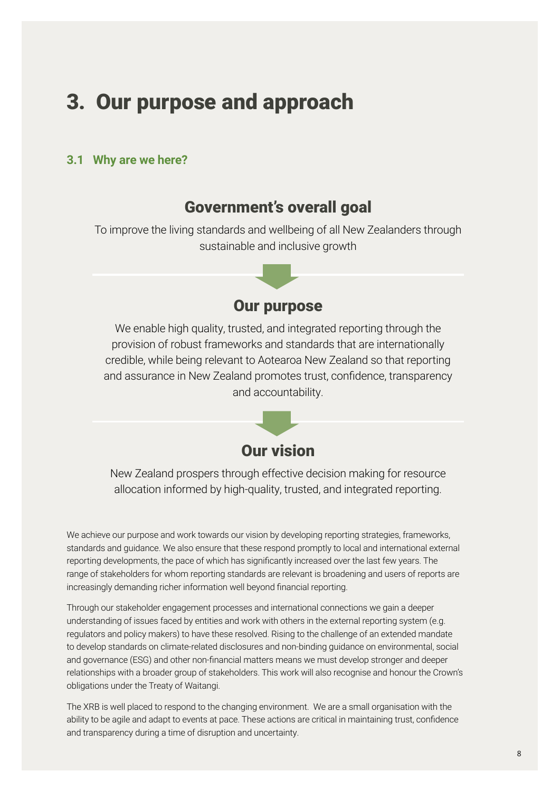## <span id="page-7-0"></span>3. Our purpose and approach

#### **3.1 Why are we here?**

#### Government's overall goal

To improve the living standards and wellbeing of all New Zealanders through sustainable and inclusive growth



We enable high quality, trusted, and integrated reporting through the provision of robust frameworks and standards that are internationally credible, while being relevant to Aotearoa New Zealand so that reporting and assurance in New Zealand promotes trust, confidence, transparency and accountability.



New Zealand prospers through effective decision making for resource allocation informed by high-quality, trusted, and integrated reporting.

We achieve our purpose and work towards our vision by developing reporting strategies, frameworks, standards and guidance. We also ensure that these respond promptly to local and international external reporting developments, the pace of which has significantly increased over the last few years. The range of stakeholders for whom reporting standards are relevant is broadening and users of reports are increasingly demanding richer information well beyond financial reporting.

Through our stakeholder engagement processes and international connections we gain a deeper understanding of issues faced by entities and work with others in the external reporting system (e.g. regulators and policy makers) to have these resolved. Rising to the challenge of an extended mandate to develop standards on climate-related disclosures and non-binding guidance on environmental, social and governance (ESG) and other non-financial matters means we must develop stronger and deeper relationships with a broader group of stakeholders. This work will also recognise and honour the Crown's obligations under the Treaty of Waitangi.

The XRB is well placed to respond to the changing environment. We are a small organisation with the ability to be agile and adapt to events at pace. These actions are critical in maintaining trust, confidence and transparency during a time of disruption and uncertainty.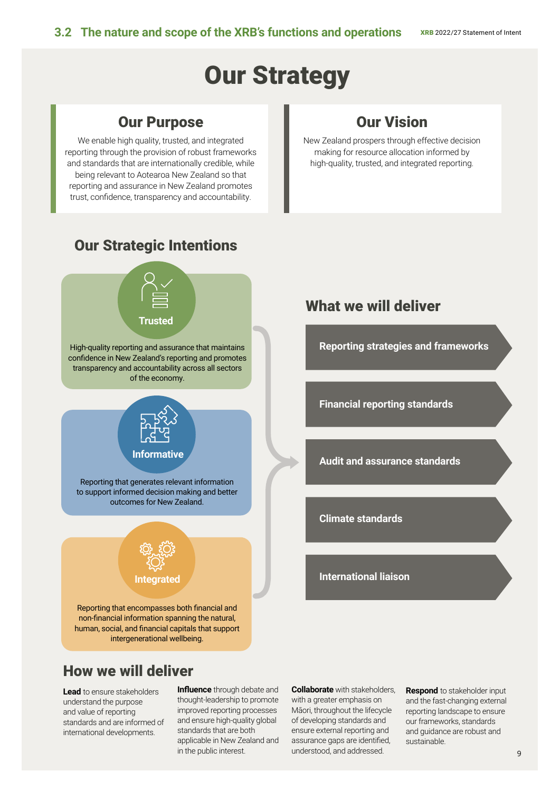# Our Strategy

### Our Purpose

We enable high quality, trusted, and integrated reporting through the provision of robust frameworks and standards that are internationally credible, while being relevant to Aotearoa New Zealand so that reporting and assurance in New Zealand promotes trust, confidence, transparency and accountability.

## Our Vision

New Zealand prospers through effective decision making for resource allocation informed by high-quality, trusted, and integrated reporting.



## How we will deliver

**Lead** to ensure stakeholders understand the purpose and value of reporting standards and are informed of international developments.

**Influence** through debate and thought-leadership to promote improved reporting processes and ensure high-quality global standards that are both applicable in New Zealand and in the public interest.

**Collaborate** with stakeholders, with a greater emphasis on Māori, throughout the lifecycle of developing standards and ensure external reporting and assurance gaps are identified, understood, and addressed.

**Respond** to stakeholder input and the fast-changing external reporting landscape to ensure our frameworks, standards and guidance are robust and sustainable.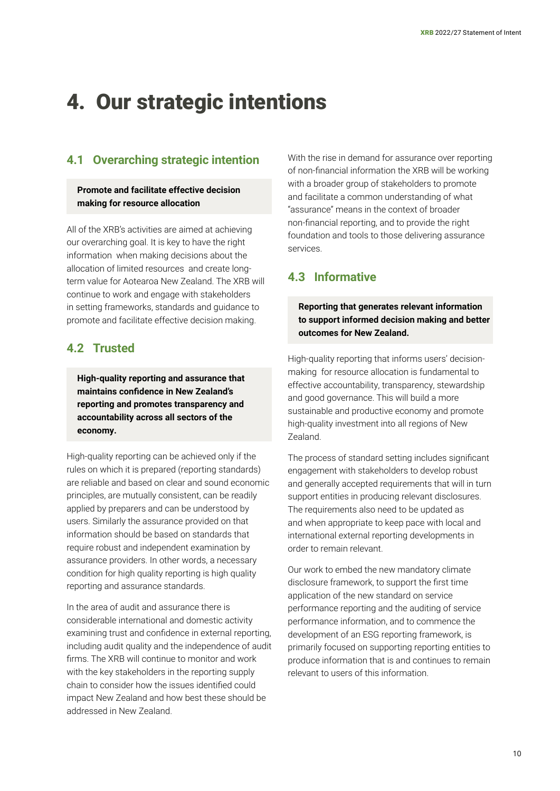## <span id="page-9-0"></span>4. Our strategic intentions

#### **4.1 Overarching strategic intention**

#### **Promote and facilitate effective decision making for resource allocation**

All of the XRB's activities are aimed at achieving our overarching goal. It is key to have the right information when making decisions about the allocation of limited resources and create longterm value for Aotearoa New Zealand. The XRB will continue to work and engage with stakeholders in setting frameworks, standards and guidance to promote and facilitate effective decision making.

#### **4.2 Trusted**

**High-quality reporting and assurance that maintains confidence in New Zealand's reporting and promotes transparency and accountability across all sectors of the economy.**

High-quality reporting can be achieved only if the rules on which it is prepared (reporting standards) are reliable and based on clear and sound economic principles, are mutually consistent, can be readily applied by preparers and can be understood by users. Similarly the assurance provided on that information should be based on standards that require robust and independent examination by assurance providers. In other words, a necessary condition for high quality reporting is high quality reporting and assurance standards.

In the area of audit and assurance there is considerable international and domestic activity examining trust and confidence in external reporting, including audit quality and the independence of audit firms. The XRB will continue to monitor and work with the key stakeholders in the reporting supply chain to consider how the issues identified could impact New Zealand and how best these should be addressed in New Zealand.

With the rise in demand for assurance over reporting of non-financial information the XRB will be working with a broader group of stakeholders to promote and facilitate a common understanding of what "assurance" means in the context of broader non-financial reporting, and to provide the right foundation and tools to those delivering assurance services.

#### **4.3 Informative**

**Reporting that generates relevant information to support informed decision making and better outcomes for New Zealand.**

High-quality reporting that informs users' decisionmaking for resource allocation is fundamental to effective accountability, transparency, stewardship and good governance. This will build a more sustainable and productive economy and promote high-quality investment into all regions of New Zealand.

The process of standard setting includes significant engagement with stakeholders to develop robust and generally accepted requirements that will in turn support entities in producing relevant disclosures. The requirements also need to be updated as and when appropriate to keep pace with local and international external reporting developments in order to remain relevant.

Our work to embed the new mandatory climate disclosure framework, to support the first time application of the new standard on service performance reporting and the auditing of service performance information, and to commence the development of an ESG reporting framework, is primarily focused on supporting reporting entities to produce information that is and continues to remain relevant to users of this information.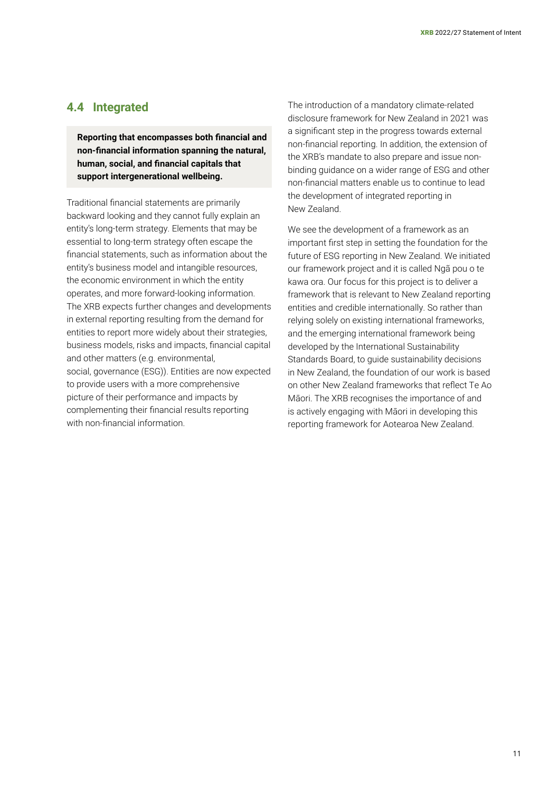#### **4.4 Integrated**

**Reporting that encompasses both financial and non-financial information spanning the natural, human, social, and financial capitals that support intergenerational wellbeing.**

Traditional financial statements are primarily backward looking and they cannot fully explain an entity's long-term strategy. Elements that may be essential to long-term strategy often escape the financial statements, such as information about the entity's business model and intangible resources, the economic environment in which the entity operates, and more forward-looking information. The XRB expects further changes and developments in external reporting resulting from the demand for entities to report more widely about their strategies, business models, risks and impacts, financial capital and other matters (e.g. environmental, social, governance (ESG)). Entities are now expected to provide users with a more comprehensive picture of their performance and impacts by complementing their financial results reporting with non-financial information.

The introduction of a mandatory climate-related disclosure framework for New Zealand in 2021 was a significant step in the progress towards external non-financial reporting. In addition, the extension of the XRB's mandate to also prepare and issue nonbinding guidance on a wider range of ESG and other non-financial matters enable us to continue to lead the development of integrated reporting in New Zealand.

We see the development of a framework as an important first step in setting the foundation for the future of ESG reporting in New Zealand. We initiated our framework project and it is called Ngã pou o te kawa ora. Our focus for this project is to deliver a framework that is relevant to New Zealand reporting entities and credible internationally. So rather than relying solely on existing international frameworks, and the emerging international framework being developed by the International Sustainability Standards Board, to guide sustainability decisions in New Zealand, the foundation of our work is based on other New Zealand frameworks that reflect Te Ao Māori. The XRB recognises the importance of and is actively engaging with Māori in developing this reporting framework for Aotearoa New Zealand.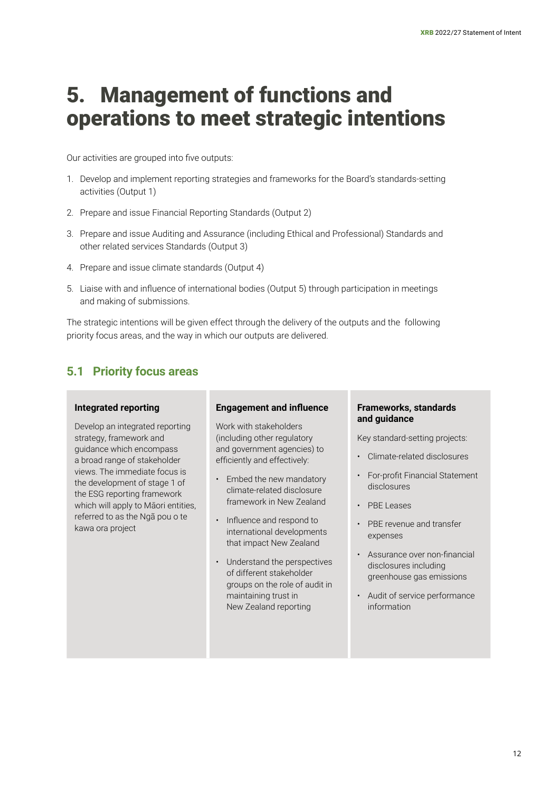## <span id="page-11-0"></span>5. Management of functions and operations to meet strategic intentions

Our activities are grouped into five outputs:

- 1. Develop and implement reporting strategies and frameworks for the Board's standards-setting activities (Output 1)
- 2. Prepare and issue Financial Reporting Standards (Output 2)
- 3. Prepare and issue Auditing and Assurance (including Ethical and Professional) Standards and other related services Standards (Output 3)
- 4. Prepare and issue climate standards (Output 4)
- 5. Liaise with and influence of international bodies (Output 5) through participation in meetings and making of submissions.

The strategic intentions will be given effect through the delivery of the outputs and the following priority focus areas, and the way in which our outputs are delivered.

#### **5.1 Priority focus areas**

#### **Integrated reporting**

Develop an integrated reporting strategy, framework and guidance which encompass a broad range of stakeholder views. The immediate focus is the development of stage 1 of the ESG reporting framework which will apply to Māori entities, referred to as the Ngã pou o te kawa ora project

#### **Engagement and influence**

Work with stakeholders (including other regulatory and government agencies) to efficiently and effectively:

- Embed the new mandatory climate-related disclosure framework in New Zealand
- Influence and respond to international developments that impact New Zealand
- Understand the perspectives of different stakeholder groups on the role of audit in maintaining trust in New Zealand reporting

#### **Frameworks, standards and guidance**

Key standard-setting projects:

- Climate-related disclosures
- For-profit Financial Statement disclosures
- PBE Leases
- PBE revenue and transfer expenses
- Assurance over non-financial disclosures including greenhouse gas emissions
- Audit of service performance information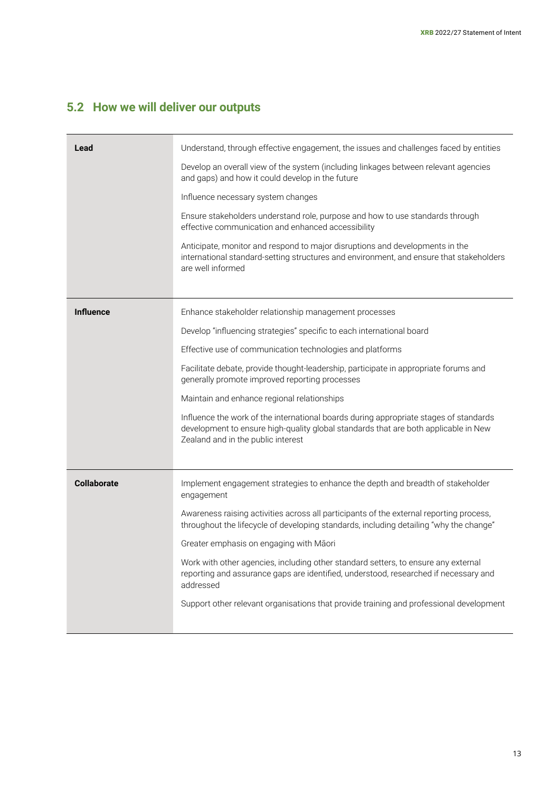## **5.2 How we will deliver our outputs**

| Lead               | Understand, through effective engagement, the issues and challenges faced by entities<br>Develop an overall view of the system (including linkages between relevant agencies<br>and gaps) and how it could develop in the future<br>Influence necessary system changes<br>Ensure stakeholders understand role, purpose and how to use standards through<br>effective communication and enhanced accessibility<br>Anticipate, monitor and respond to major disruptions and developments in the<br>international standard-setting structures and environment, and ensure that stakeholders<br>are well informed       |
|--------------------|---------------------------------------------------------------------------------------------------------------------------------------------------------------------------------------------------------------------------------------------------------------------------------------------------------------------------------------------------------------------------------------------------------------------------------------------------------------------------------------------------------------------------------------------------------------------------------------------------------------------|
| <b>Influence</b>   | Enhance stakeholder relationship management processes<br>Develop "influencing strategies" specific to each international board<br>Effective use of communication technologies and platforms<br>Facilitate debate, provide thought-leadership, participate in appropriate forums and<br>generally promote improved reporting processes<br>Maintain and enhance regional relationships<br>Influence the work of the international boards during appropriate stages of standards<br>development to ensure high-quality global standards that are both applicable in New<br>Zealand and in the public interest          |
| <b>Collaborate</b> | Implement engagement strategies to enhance the depth and breadth of stakeholder<br>engagement<br>Awareness raising activities across all participants of the external reporting process,<br>throughout the lifecycle of developing standards, including detailing "why the change"<br>Greater emphasis on engaging with Māori<br>Work with other agencies, including other standard setters, to ensure any external<br>reporting and assurance gaps are identified, understood, researched if necessary and<br>addressed<br>Support other relevant organisations that provide training and professional development |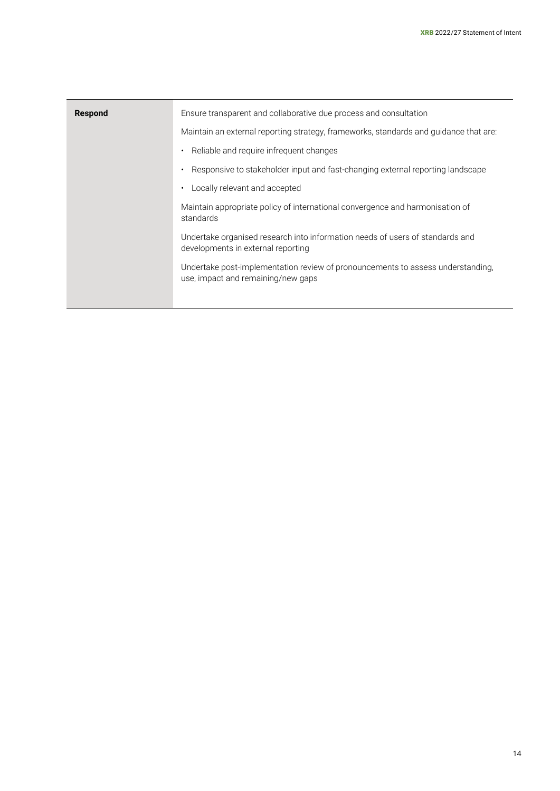| Respond | Ensure transparent and collaborative due process and consultation                                                     |
|---------|-----------------------------------------------------------------------------------------------------------------------|
|         | Maintain an external reporting strategy, frameworks, standards and guidance that are:                                 |
|         | Reliable and require infrequent changes                                                                               |
|         | Responsive to stakeholder input and fast-changing external reporting landscape                                        |
|         | Locally relevant and accepted                                                                                         |
|         | Maintain appropriate policy of international convergence and harmonisation of<br>standards                            |
|         | Undertake organised research into information needs of users of standards and<br>developments in external reporting   |
|         | Undertake post-implementation review of pronouncements to assess understanding,<br>use, impact and remaining/new gaps |
|         |                                                                                                                       |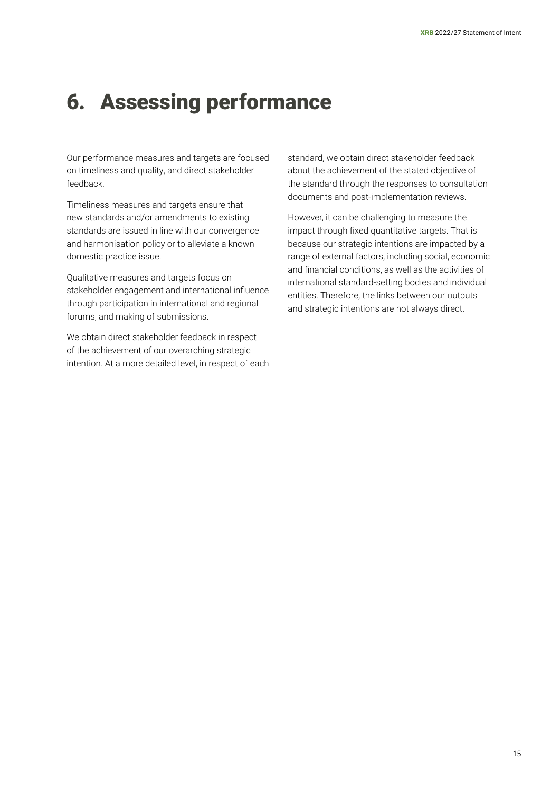## <span id="page-14-0"></span>6. Assessing performance

Our performance measures and targets are focused on timeliness and quality, and direct stakeholder feedback.

Timeliness measures and targets ensure that new standards and/or amendments to existing standards are issued in line with our convergence and harmonisation policy or to alleviate a known domestic practice issue.

Qualitative measures and targets focus on stakeholder engagement and international influence through participation in international and regional forums, and making of submissions.

We obtain direct stakeholder feedback in respect of the achievement of our overarching strategic intention. At a more detailed level, in respect of each standard, we obtain direct stakeholder feedback about the achievement of the stated objective of the standard through the responses to consultation documents and post-implementation reviews.

However, it can be challenging to measure the impact through fixed quantitative targets. That is because our strategic intentions are impacted by a range of external factors, including social, economic and financial conditions, as well as the activities of international standard-setting bodies and individual entities. Therefore, the links between our outputs and strategic intentions are not always direct.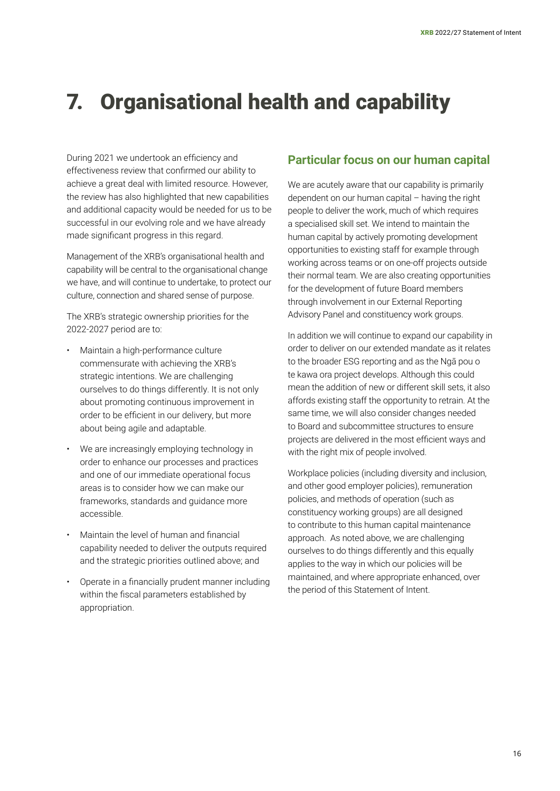# <span id="page-15-0"></span>7. Organisational health and capability

During 2021 we undertook an efficiency and effectiveness review that confirmed our ability to achieve a great deal with limited resource. However, the review has also highlighted that new capabilities and additional capacity would be needed for us to be successful in our evolving role and we have already made significant progress in this regard.

Management of the XRB's organisational health and capability will be central to the organisational change we have, and will continue to undertake, to protect our culture, connection and shared sense of purpose.

The XRB's strategic ownership priorities for the 2022-2027 period are to:

- Maintain a high-performance culture commensurate with achieving the XRB's strategic intentions. We are challenging ourselves to do things differently. It is not only about promoting continuous improvement in order to be efficient in our delivery, but more about being agile and adaptable.
- We are increasingly employing technology in order to enhance our processes and practices and one of our immediate operational focus areas is to consider how we can make our frameworks, standards and guidance more accessible.
- Maintain the level of human and financial capability needed to deliver the outputs required and the strategic priorities outlined above; and
- Operate in a financially prudent manner including within the fiscal parameters established by appropriation.

#### **Particular focus on our human capital**

We are acutely aware that our capability is primarily dependent on our human capital – having the right people to deliver the work, much of which requires a specialised skill set. We intend to maintain the human capital by actively promoting development opportunities to existing staff for example through working across teams or on one-off projects outside their normal team. We are also creating opportunities for the development of future Board members through involvement in our External Reporting Advisory Panel and constituency work groups.

In addition we will continue to expand our capability in order to deliver on our extended mandate as it relates to the broader ESG reporting and as the Ngā pou o te kawa ora project develops. Although this could mean the addition of new or different skill sets, it also affords existing staff the opportunity to retrain. At the same time, we will also consider changes needed to Board and subcommittee structures to ensure projects are delivered in the most efficient ways and with the right mix of people involved.

Workplace policies (including diversity and inclusion, and other good employer policies), remuneration policies, and methods of operation (such as constituency working groups) are all designed to contribute to this human capital maintenance approach. As noted above, we are challenging ourselves to do things differently and this equally applies to the way in which our policies will be maintained, and where appropriate enhanced, over the period of this Statement of Intent.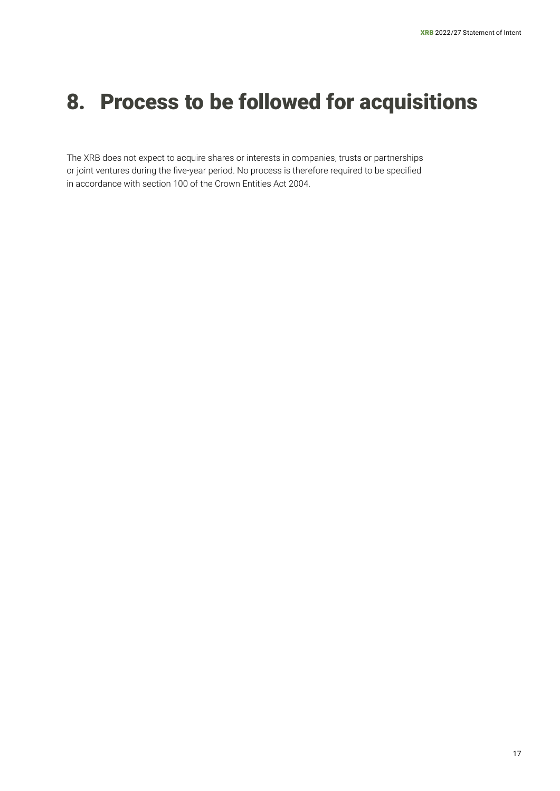# <span id="page-16-0"></span>8. Process to be followed for acquisitions

The XRB does not expect to acquire shares or interests in companies, trusts or partnerships or joint ventures during the five-year period. No process is therefore required to be specified in accordance with section 100 of the Crown Entities Act 2004.